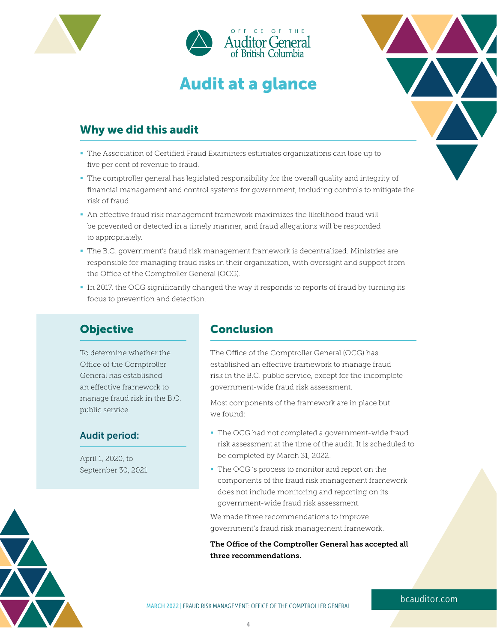

# Audit at a glance



## Why we did this audit

- The Association of Certified Fraud Examiners estimates organizations can lose up to five per cent of revenue to fraud.
- The comptroller general has legislated responsibility for the overall quality and integrity of financial management and control systems for government, including controls to mitigate the risk of fraud.
- An effective fraud risk management framework maximizes the likelihood fraud will be prevented or detected in a timely manner, and fraud allegations will be responded to appropriately.
- The B.C. government's fraud risk management framework is decentralized. Ministries are responsible for managing fraud risks in their organization, with oversight and support from the Office of the Comptroller General (OCG).
- In 2017, the OCG significantly changed the way it responds to reports of fraud by turning its focus to prevention and detection.

## **Objective**

To determine whether the Office of the Comptroller General has established an effective framework to manage fraud risk in the B.C. public service.

#### Audit period:

April 1, 2020, to September 30, 2021

## **Conclusion**

The Office of the Comptroller General (OCG) has established an effective framework to manage fraud risk in the B.C. public service, except for the incomplete government-wide fraud risk assessment.

Most components of the framework are in place but we found:

- The OCG had not completed a government-wide fraud risk assessment at the time of the audit. It is scheduled to be completed by March 31, 2022.
- The OCG 's process to monitor and report on the components of the fraud risk management framework does not include monitoring and reporting on its government-wide fraud risk assessment.

We made three recommendations to improve government's fraud risk management framework.

The Office of the Comptroller General has accepted all three recommendations.



#### [bcauditor.com](https://www.bcauditor.com/)